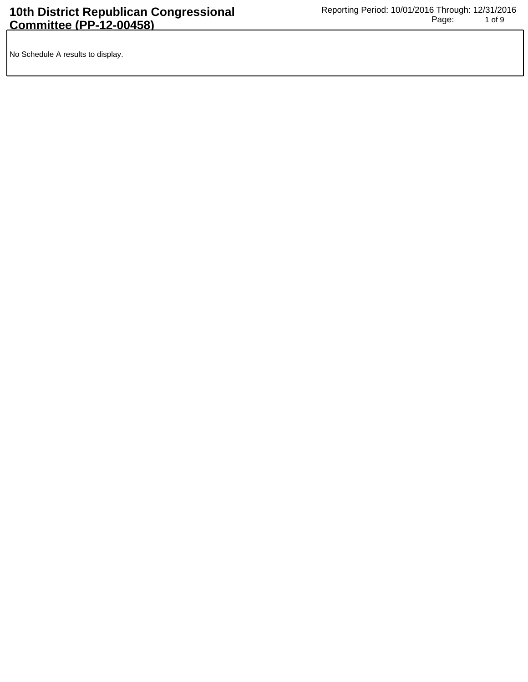No Schedule A results to display.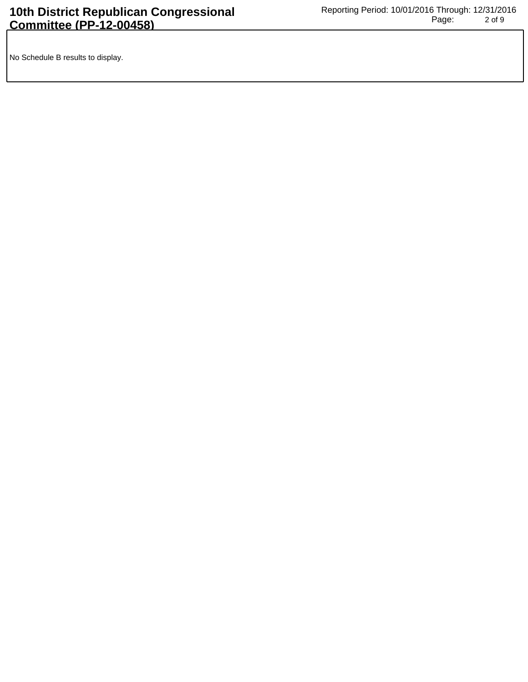No Schedule B results to display.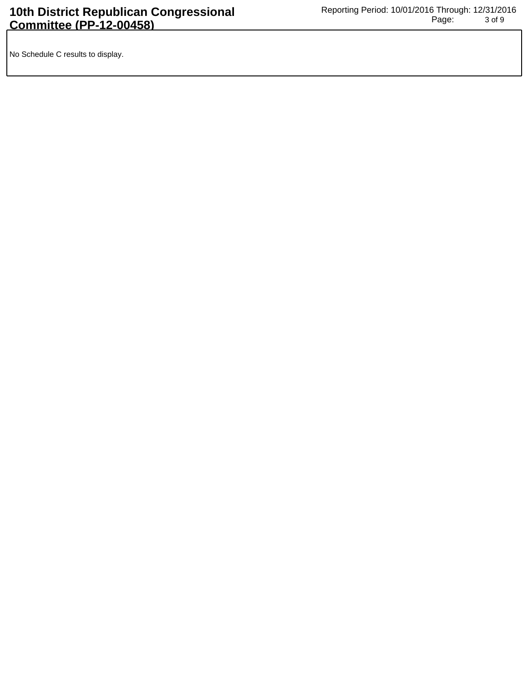No Schedule C results to display.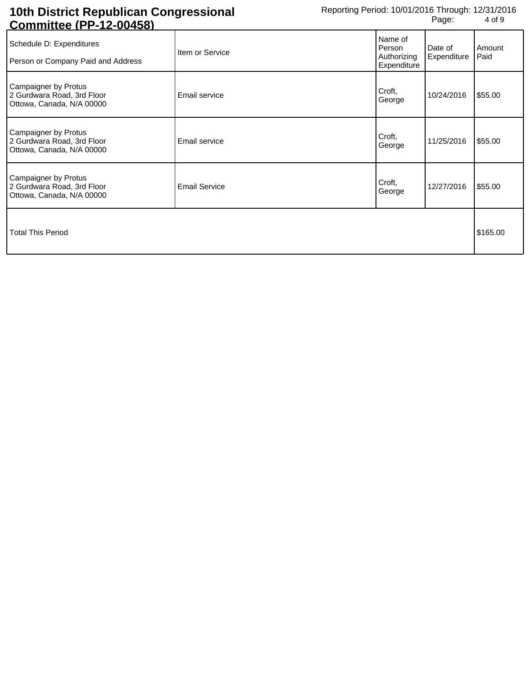## **10th District Republican Congressional Committee (PP-12-00458)**

| Schedule D: Expenditures<br>Person or Company Paid and Address                  | Item or Service      | Name of<br>Person<br>Authorizing<br>Expenditure | Date of<br>Expenditure | Amount<br>Paid |
|---------------------------------------------------------------------------------|----------------------|-------------------------------------------------|------------------------|----------------|
| Campaigner by Protus<br>2 Gurdwara Road, 3rd Floor<br>Ottowa, Canada, N/A 00000 | Email service        | Croft,<br>George                                | 10/24/2016             | \$55.00        |
| Campaigner by Protus<br>2 Gurdwara Road, 3rd Floor<br>Ottowa, Canada, N/A 00000 | Email service        | Croft,<br>George                                | 11/25/2016             | \$55.00        |
| Campaigner by Protus<br>2 Gurdwara Road, 3rd Floor<br>Ottowa, Canada, N/A 00000 | <b>Email Service</b> | Croft,<br>George                                | 12/27/2016             | \$55.00        |
| <b>Total This Period</b>                                                        |                      |                                                 | \$165.00               |                |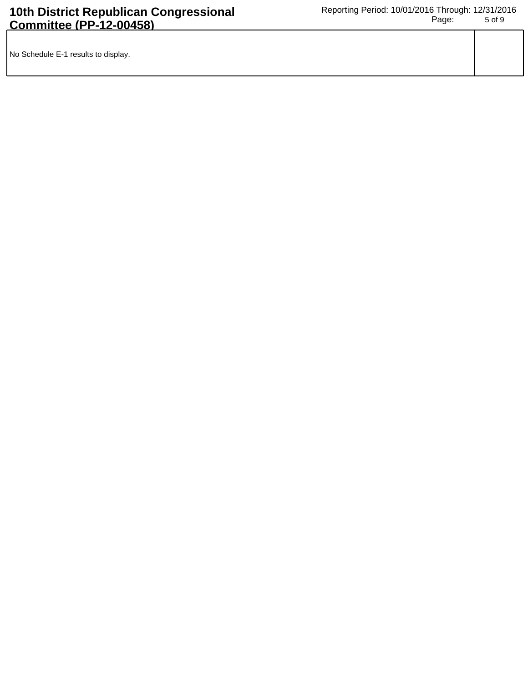| No Schedule E-1 results to display. |  |
|-------------------------------------|--|
|                                     |  |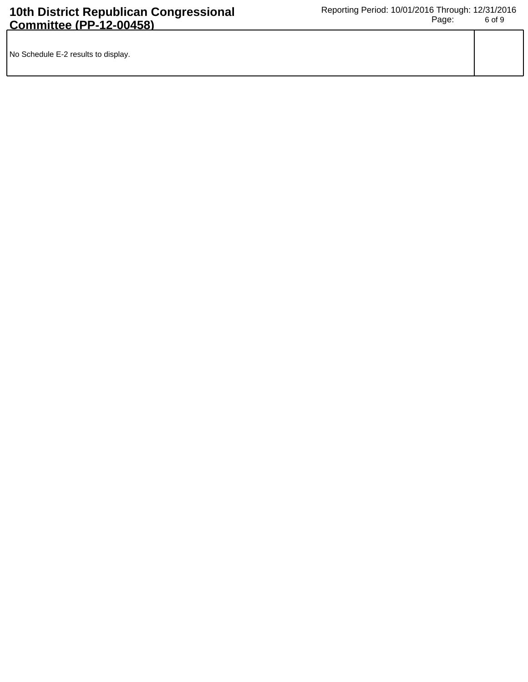| No Schedule E-2 results to display. |  |
|-------------------------------------|--|
|                                     |  |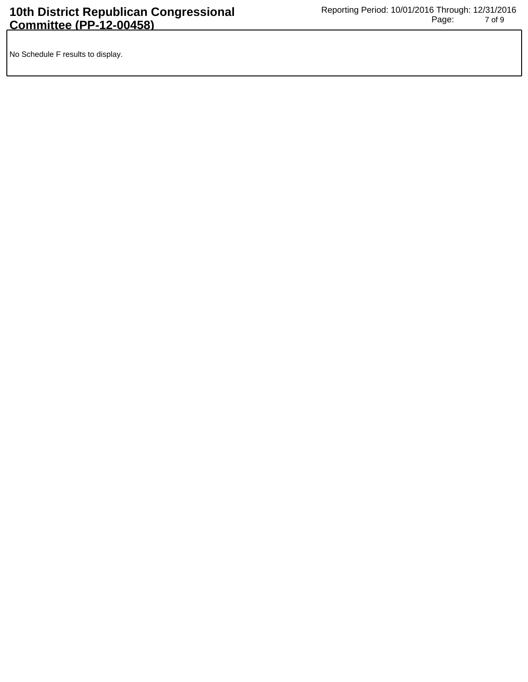No Schedule F results to display.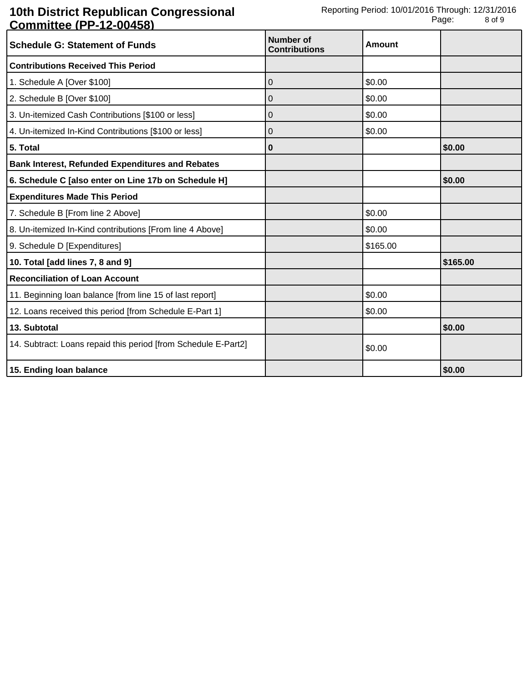## **10th District Republican Congressional Committee (PP-12-00458)**

| <u> Johnnittov († † † 2010)</u><br><b>Schedule G: Statement of Funds</b> | Number of<br><b>Contributions</b> | <b>Amount</b> |          |
|--------------------------------------------------------------------------|-----------------------------------|---------------|----------|
| <b>Contributions Received This Period</b>                                |                                   |               |          |
| 1. Schedule A [Over \$100]                                               | $\Omega$                          | \$0.00        |          |
| 2. Schedule B [Over \$100]                                               | 0                                 | \$0.00        |          |
| 3. Un-itemized Cash Contributions [\$100 or less]                        | 0                                 | \$0.00        |          |
| 4. Un-itemized In-Kind Contributions [\$100 or less]                     | 0                                 | \$0.00        |          |
| 5. Total                                                                 | 0                                 |               | \$0.00   |
| <b>Bank Interest, Refunded Expenditures and Rebates</b>                  |                                   |               |          |
| 6. Schedule C [also enter on Line 17b on Schedule H]                     |                                   |               | \$0.00   |
| <b>Expenditures Made This Period</b>                                     |                                   |               |          |
| 7. Schedule B [From line 2 Above]                                        |                                   | \$0.00        |          |
| 8. Un-itemized In-Kind contributions [From line 4 Above]                 |                                   | \$0.00        |          |
| 9. Schedule D [Expenditures]                                             |                                   | \$165.00      |          |
| 10. Total [add lines 7, 8 and 9]                                         |                                   |               | \$165.00 |
| <b>Reconciliation of Loan Account</b>                                    |                                   |               |          |
| 11. Beginning loan balance [from line 15 of last report]                 |                                   | \$0.00        |          |
| 12. Loans received this period [from Schedule E-Part 1]                  |                                   | \$0.00        |          |
| 13. Subtotal                                                             |                                   |               | \$0.00   |
| 14. Subtract: Loans repaid this period [from Schedule E-Part2]           |                                   | \$0.00        |          |
| 15. Ending loan balance                                                  |                                   |               | \$0.00   |